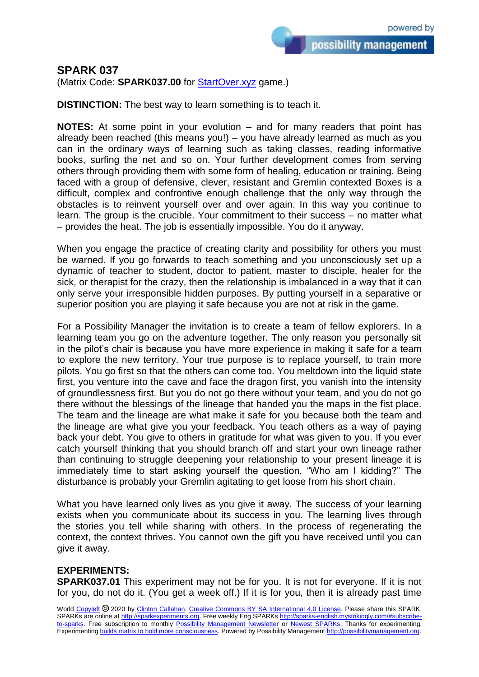## **SPARK 037**

(Matrix Code: **SPARK037.00** for **StartOver.xyz** game.)

**DISTINCTION:** The best way to learn something is to teach it.

**NOTES:** At some point in your evolution – and for many readers that point has already been reached (this means you!) – you have already learned as much as you can in the ordinary ways of learning such as taking classes, reading informative books, surfing the net and so on. Your further development comes from serving others through providing them with some form of healing, education or training. Being faced with a group of defensive, clever, resistant and Gremlin contexted Boxes is a difficult, complex and confrontive enough challenge that the only way through the obstacles is to reinvent yourself over and over again. In this way you continue to learn. The group is the crucible. Your commitment to their success – no matter what – provides the heat. The job is essentially impossible. You do it anyway.

When you engage the practice of creating clarity and possibility for others you must be warned. If you go forwards to teach something and you unconsciously set up a dynamic of teacher to student, doctor to patient, master to disciple, healer for the sick, or therapist for the crazy, then the relationship is imbalanced in a way that it can only serve your irresponsible hidden purposes. By putting yourself in a separative or superior position you are playing it safe because you are not at risk in the game.

For a Possibility Manager the invitation is to create a team of fellow explorers. In a learning team you go on the adventure together. The only reason you personally sit in the pilot's chair is because you have more experience in making it safe for a team to explore the new territory. Your true purpose is to replace yourself, to train more pilots. You go first so that the others can come too. You meltdown into the liquid state first, you venture into the cave and face the dragon first, you vanish into the intensity of groundlessness first. But you do not go there without your team, and you do not go there without the blessings of the lineage that handed you the maps in the fist place. The team and the lineage are what make it safe for you because both the team and the lineage are what give you your feedback. You teach others as a way of paying back your debt. You give to others in gratitude for what was given to you. If you ever catch yourself thinking that you should branch off and start your own lineage rather than continuing to struggle deepening your relationship to your present lineage it is immediately time to start asking yourself the question, "Who am I kidding?" The disturbance is probably your Gremlin agitating to get loose from his short chain.

What you have learned only lives as you give it away. The success of your learning exists when you communicate about its success in you. The learning lives through the stories you tell while sharing with others. In the process of regenerating the context, the context thrives. You cannot own the gift you have received until you can give it away.

## **EXPERIMENTS:**

**SPARK037.01** This experiment may not be for you. It is not for everyone. If it is not for you, do not do it. (You get a week off.) If it is for you, then it is already past time